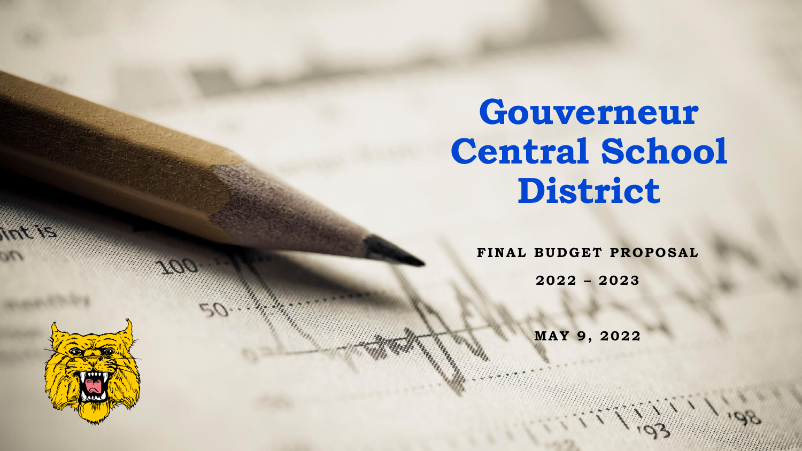## **Gouverneur Central School District**

**FINAL BUDGET PROPOSAL** 

**2022 – 2023**

**MA Y 9 , 2022**

1

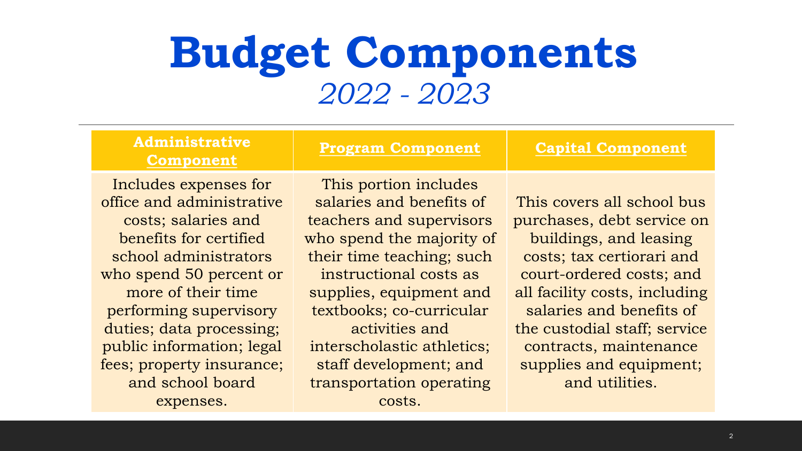## **Budget Components**  *2022 - 2023*

| <b>Administrative</b><br><b>Component</b> | <b>Program Component</b>   | <b>Capital Component</b>      |
|-------------------------------------------|----------------------------|-------------------------------|
| Includes expenses for                     | This portion includes      |                               |
| office and administrative                 | salaries and benefits of   | This covers all school bus    |
| costs; salaries and                       | teachers and supervisors   | purchases, debt service on    |
| benefits for certified                    | who spend the majority of  | buildings, and leasing        |
| school administrators                     | their time teaching; such  | costs; tax certiorari and     |
| who spend 50 percent or                   | instructional costs as     | court-ordered costs; and      |
| more of their time                        | supplies, equipment and    | all facility costs, including |
| performing supervisory                    | textbooks; co-curricular   | salaries and benefits of      |
| duties; data processing;                  | activities and             | the custodial staff; service  |
| public information; legal                 | interscholastic athletics; | contracts, maintenance        |
| fees; property insurance;                 | staff development; and     | supplies and equipment;       |
| and school board                          | transportation operating   | and utilities.                |
| expenses.                                 | costs.                     |                               |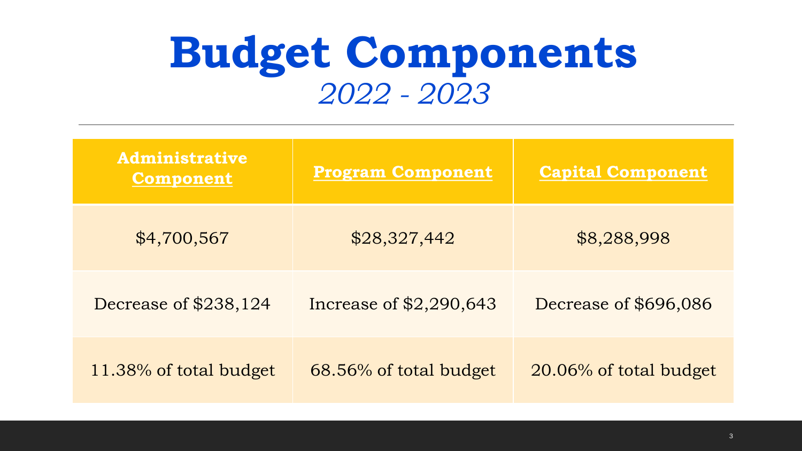## **Budget Components**  *2022 - 2023*

| <b>Administrative</b><br><b>Component</b> | <b>Program Component</b> | <b>Capital Component</b> |
|-------------------------------------------|--------------------------|--------------------------|
| \$4,700,567                               | \$28,327,442             | \$8,288,998              |
| Decrease of \$238,124                     | Increase of \$2,290,643  | Decrease of \$696,086    |
| 11.38% of total budget                    | 68.56% of total budget   | 20.06% of total budget   |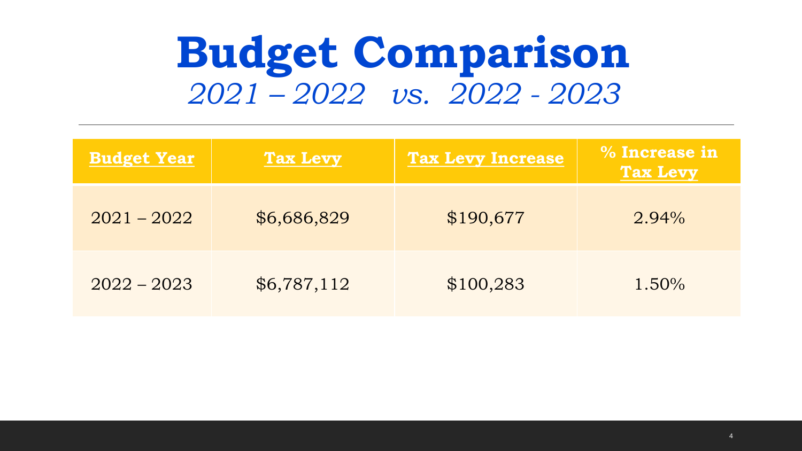## **Budget Comparison** *2021 – 2022 vs. 2022 - 2023*

| <b>Budget Year</b> | <b>Tax Levy</b> | <b>Tax Levy Increase</b> | % Increase in<br><b>Tax Levy</b> |
|--------------------|-----------------|--------------------------|----------------------------------|
| $2021 - 2022$      | \$6,686,829     | \$190,677                | $2.94\%$                         |
| $2022 - 2023$      | \$6,787,112     | \$100,283                | $1.50\%$                         |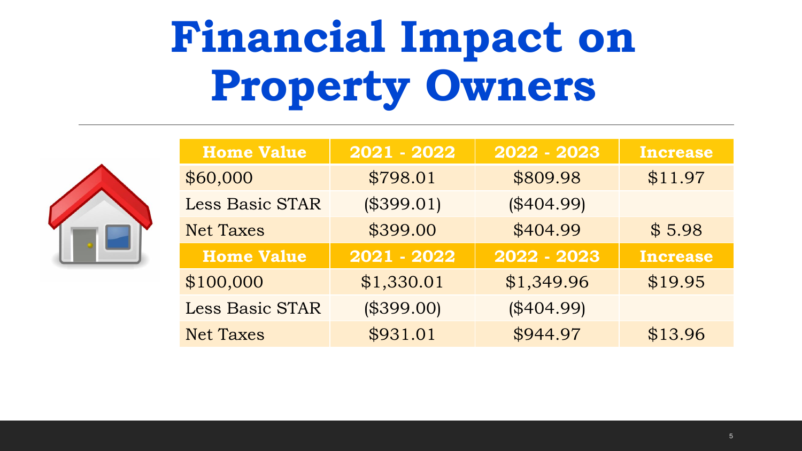# **Financial Impact on Property Owners**



| <b>Home Value</b>      | 2021 - 2022 | 2022 - 2023 | <b>Increase</b> |
|------------------------|-------------|-------------|-----------------|
| \$60,000               | \$798.01    | \$809.98    | \$11.97         |
| Less Basic STAR        | (\$399.01)  | (\$404.99)  |                 |
| <b>Net Taxes</b>       | \$399.00    | \$404.99    | \$5.98          |
|                        |             |             |                 |
| <b>Home Value</b>      | 2021 - 2022 | 2022 - 2023 | <b>Increase</b> |
| \$100,000              | \$1,330.01  | \$1,349.96  | \$19.95         |
| <b>Less Basic STAR</b> | (\$399.00)  | (\$404.99)  |                 |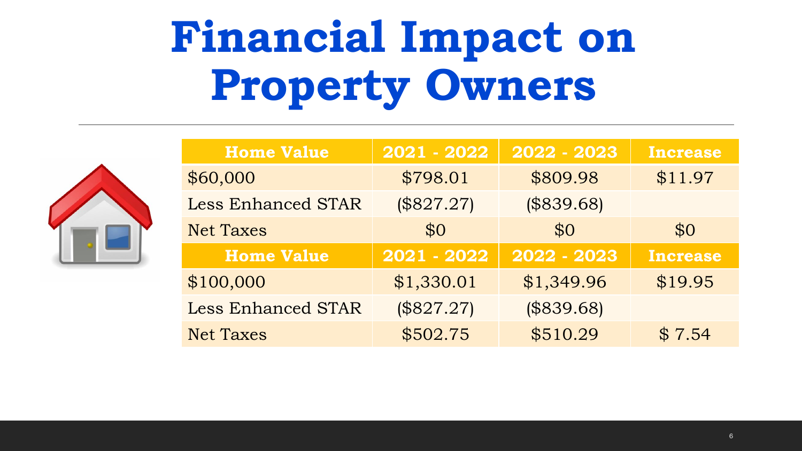# **Financial Impact on Property Owners**



| <b>Home Value</b>         | 2021 - 2022 | 2022 - 2023 | <b>Increase</b> |
|---------------------------|-------------|-------------|-----------------|
| \$60,000                  | \$798.01    | \$809.98    | \$11.97         |
| <b>Less Enhanced STAR</b> | (\$827.27)  | (\$839.68)  |                 |
| <b>Net Taxes</b>          | \$0         | \$0         | \$0             |
|                           |             |             |                 |
| <b>Home Value</b>         | 2021 - 2022 | 2022 - 2023 | <b>Increase</b> |
| \$100,000                 | \$1,330.01  | \$1,349.96  | \$19.95         |
| <b>Less Enhanced STAR</b> | (\$827.27)  | (\$839.68)  |                 |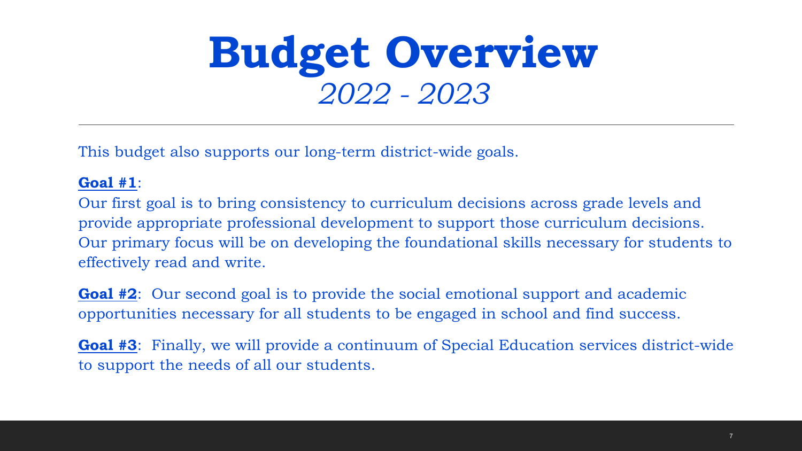## **Budget Overview**  *2022 - 2023*

This budget also supports our long-term district-wide goals.

#### **Goal #1**:

Our first goal is to bring consistency to curriculum decisions across grade levels and provide appropriate professional development to support those curriculum decisions. Our primary focus will be on developing the foundational skills necessary for students to effectively read and write.

**Goal #2**: Our second goal is to provide the social emotional support and academic opportunities necessary for all students to be engaged in school and find success.

**Goal #3**: Finally, we will provide a continuum of Special Education services district-wide to support the needs of all our students.